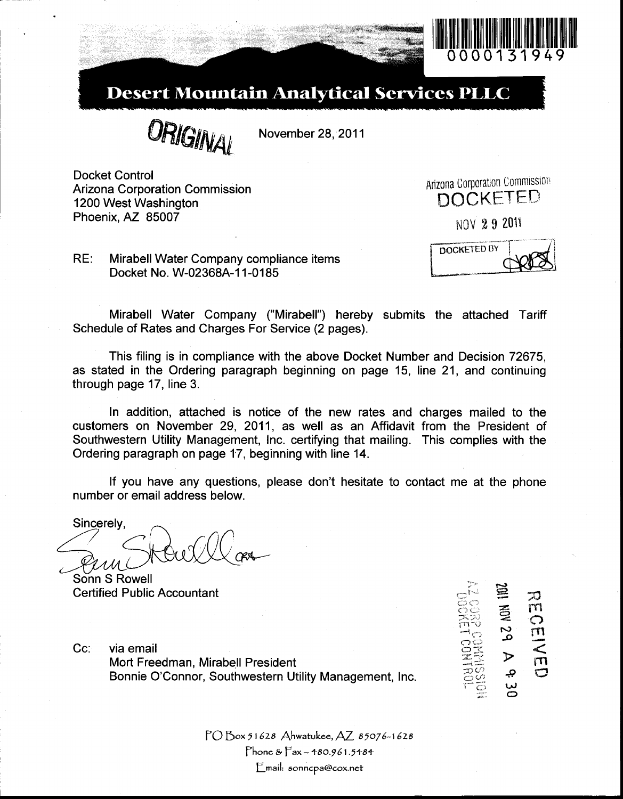

# **Desert Mountain Analytical Services PLLC**

**ORIGINAL** 

November 28, 2011

Docket Control Arizona Corporation Commission 1200 West Washington Phoenix, AZ 85007

**Arizona Corporation Commission** DOCKETED NOV 29 2011

**DOCKETED BY** 

RE: Mirabell Water Company compliance items Docket No. W-02368A-11-0185

Mirabell Water Company ("Mirabell") hereby submits the attached Tariff Schedule of Rates and Charges For Service (2 pages).

This filing is in compliance with the above Docket Number and Decision 72675, as stated in the Ordering paragraph beginning on page 15, line 21, and continuing through page 17, line 3.

In addition, attached is notice of the new rates and charges mailed to the customers on November 29, 2011, **as** well as an Affidavit from the President of Southwestern Utility Management, Inc. certifying that mailing. This complies with the Ordering paragraph on page 17, beginning with line 14.

If you have any questions, please don't hesitate to contact me at the phone number or email address below.

Sincerely,

Sonn S Rowell Certified Public Accountant

Cc: via email Mort Freedman, Mirabell President Bonnic Accountant<br>
Via email<br>
Wort Freedman, Mirabell President<br>
Bonnie O'Connor, Southwestern Utility Management, Inc.  $\begin{array}{ccc}\n & \text{if } & \text{if } & \text{if } & \text{if } & \text{if } & \text{if } & \text{if } & \text{if } & \text{if } & \text{if } & \text{if } & \text{if } & \text{if } & \text{if } & \text{if } & \$ 

 $\overline{\Xi}\overline{\mathcal{C}}$ i-c; **w**  *2-* €3

PO **Box** *5* **I 628 Ahwatukee,** *AZ* **85076-1 628 Phone Fax** - **480.96 1.5484**   $E$ mail: sonncp[a@cox.net](mailto:a@cox.net)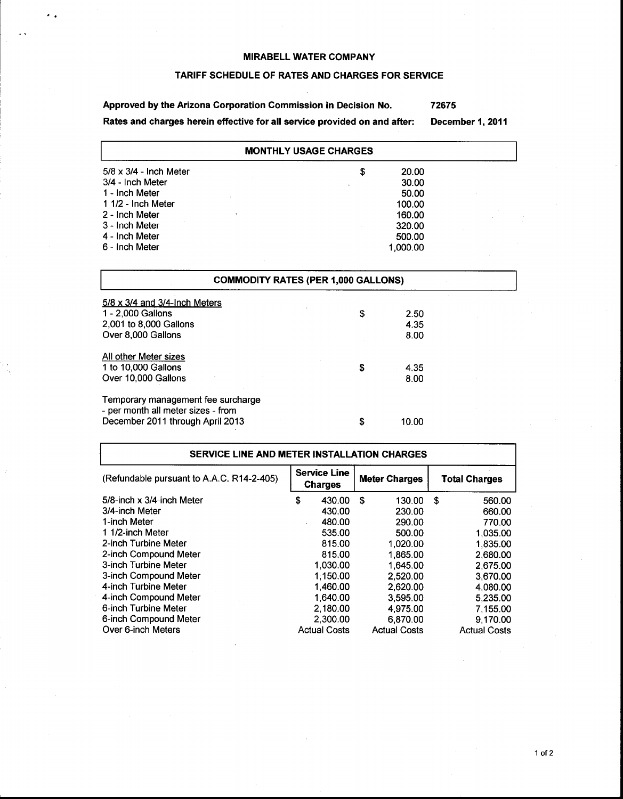$\cdot$  .

# **TARIFF SCHEDULE OF RATES AND CHARGES FOR SERVICE**

**Approved by the Arizona Corporation Commission in Decision No. Rates and charges herein effective for all service provided on and after: 72675 December 1,2011** 

| <b>MONTHLY USAGE CHARGES</b>  |            |  |  |  |
|-------------------------------|------------|--|--|--|
| $5/8 \times 3/4$ - Inch Meter | 20.00<br>S |  |  |  |
| 3/4 - Inch Meter              | 30.00      |  |  |  |
| 1 - Inch Meter                | 50.00      |  |  |  |
| 1 1/2 - Inch Meter            | 100.00     |  |  |  |
| 2 - Inch Meter                | 160.00     |  |  |  |
| 3 - Inch Meter                | 320.00     |  |  |  |
| 4 - Inch Meter                | 500.00     |  |  |  |
| 6 - Inch Meter                | 1.000.00   |  |  |  |

| <b>COMMODITY RATES (PER 1,000 GALLONS)</b>                               |    |       |  |
|--------------------------------------------------------------------------|----|-------|--|
| $5/8 \times 3/4$ and 3/4-lnch Meters                                     |    |       |  |
| 1 - 2,000 Gallons                                                        | \$ | 2.50  |  |
| 2,001 to 8,000 Gallons                                                   |    | 4.35  |  |
| Over 8,000 Gallons                                                       |    | 8.00  |  |
| All other Meter sizes                                                    |    |       |  |
| 1 to 10,000 Gallons                                                      | \$ | 4.35  |  |
| Over 10,000 Gallons                                                      |    | 8.00  |  |
| Temporary management fee surcharge<br>- per month all meter sizes - from |    |       |  |
| December 2011 through April 2013                                         | \$ | 10.00 |  |

| SERVICE LINE AND METER INSTALLATION CHARGES |                                       |                     |    |                     |    |                     |  |  |  |  |  |  |  |  |  |  |  |  |  |                      |  |                      |
|---------------------------------------------|---------------------------------------|---------------------|----|---------------------|----|---------------------|--|--|--|--|--|--|--|--|--|--|--|--|--|----------------------|--|----------------------|
| (Refundable pursuant to A.A.C. R14-2-405)   | <b>Service Line</b><br><b>Charges</b> |                     |    |                     |    |                     |  |  |  |  |  |  |  |  |  |  |  |  |  | <b>Meter Charges</b> |  | <b>Total Charges</b> |
| 5/8-inch x 3/4-inch Meter                   | \$                                    | 430.00              | \$ | 130.00              | S. | 560.00              |  |  |  |  |  |  |  |  |  |  |  |  |  |                      |  |                      |
| 3/4-inch Meter                              |                                       | 430.00              |    | 230.00              |    | 660.00              |  |  |  |  |  |  |  |  |  |  |  |  |  |                      |  |                      |
| 1-inch Meter                                |                                       | 480.00              |    | 290.00              |    | 770.00              |  |  |  |  |  |  |  |  |  |  |  |  |  |                      |  |                      |
| 1 1/2-inch Meter                            |                                       | 535.00              |    | 500.00              |    | 1.035.00            |  |  |  |  |  |  |  |  |  |  |  |  |  |                      |  |                      |
| 2-inch Turbine Meter                        |                                       | 815.00              |    | 1.020.00            |    | 1,835.00            |  |  |  |  |  |  |  |  |  |  |  |  |  |                      |  |                      |
| 2-inch Compound Meter                       |                                       | 815.00              |    | 1.865.00            |    | 2,680.00            |  |  |  |  |  |  |  |  |  |  |  |  |  |                      |  |                      |
| 3-inch Turbine Meter                        |                                       | 1.030.00            |    | 1.645.00            |    | 2.675.00            |  |  |  |  |  |  |  |  |  |  |  |  |  |                      |  |                      |
| 3-inch Compound Meter                       |                                       | 1,150.00            |    | 2.520.00            |    | 3,670.00            |  |  |  |  |  |  |  |  |  |  |  |  |  |                      |  |                      |
| 4-inch Turbine Meter                        |                                       | 1.460.00            |    | 2,620.00            |    | 4.080.00            |  |  |  |  |  |  |  |  |  |  |  |  |  |                      |  |                      |
| 4-inch Compound Meter                       |                                       | 1.640.00            |    | 3,595.00            |    | 5.235.00            |  |  |  |  |  |  |  |  |  |  |  |  |  |                      |  |                      |
| 6-inch Turbine Meter                        |                                       | 2.180.00            |    | 4,975.00            |    | 7.155.00            |  |  |  |  |  |  |  |  |  |  |  |  |  |                      |  |                      |
| 6-inch Compound Meter                       |                                       | 2.300.00            |    | 6,870.00            |    | 9.170.00            |  |  |  |  |  |  |  |  |  |  |  |  |  |                      |  |                      |
| Over 6-inch Meters                          |                                       | <b>Actual Costs</b> |    | <b>Actual Costs</b> |    | <b>Actual Costs</b> |  |  |  |  |  |  |  |  |  |  |  |  |  |                      |  |                      |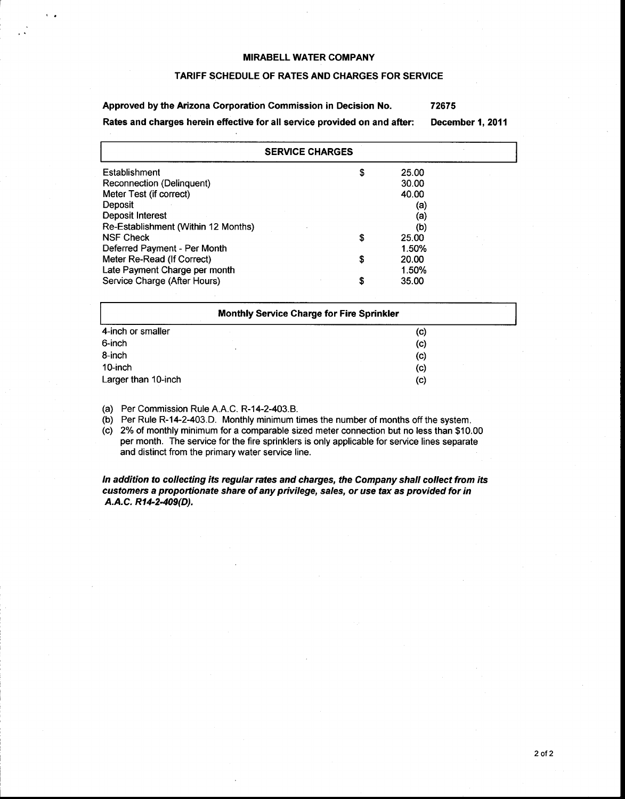#### TARIFF SCHEDULE OF RATES AND CHARGES FOR SERVICE

Approved by the Arizona Corporation Commission in Decision No. Rates and charges herein effective for **all** service provided on and after: **72675**  December **1, 2011** 

| <b>SERVICE CHARGES</b>              |    |       |  |
|-------------------------------------|----|-------|--|
| Establishment                       | \$ | 25.00 |  |
| Reconnection (Delinquent)           |    | 30.00 |  |
| Meter Test (if correct)             |    | 40.00 |  |
| Deposit                             |    | (a)   |  |
| Deposit Interest                    |    | (a)   |  |
| Re-Establishment (Within 12 Months) |    | (b)   |  |
| <b>NSF Check</b>                    | \$ | 25.00 |  |
| Deferred Payment - Per Month        |    | 1.50% |  |
| Meter Re-Read (If Correct)          | S  | 20.00 |  |
| Late Payment Charge per month       |    | 1.50% |  |
| Service Charge (After Hours)        | S  | 35.00 |  |

| <b>Monthly Service Charge for Fire Sprinkler</b> |  |                   |  |  |
|--------------------------------------------------|--|-------------------|--|--|
| 4-inch or smaller                                |  | (c)               |  |  |
| 6-inch                                           |  | (c)               |  |  |
| 8-inch                                           |  | $\left( $         |  |  |
| 10-inch                                          |  | $\left( c\right)$ |  |  |
| Larger than 10-inch                              |  | (c)               |  |  |

(a) Per Commission Rule A.A.C. R-14-2-403.B.

(b) Per Rule R-14-2-403.D. Monthly minimum times the number of months off the system.

(c) 2% of monthly minimum for a comparable sized meter connection but no less than \$10.00 per month. The service for the fire sprinklers is only applicable for service lines separate and distinct from the primary water service line.

In addition to collecting its regular rates and charges, the Company shall collect from its customers a proportionate share of any privilege, sales, or use tax as provided for in A.A.C. *R14-2409(D).*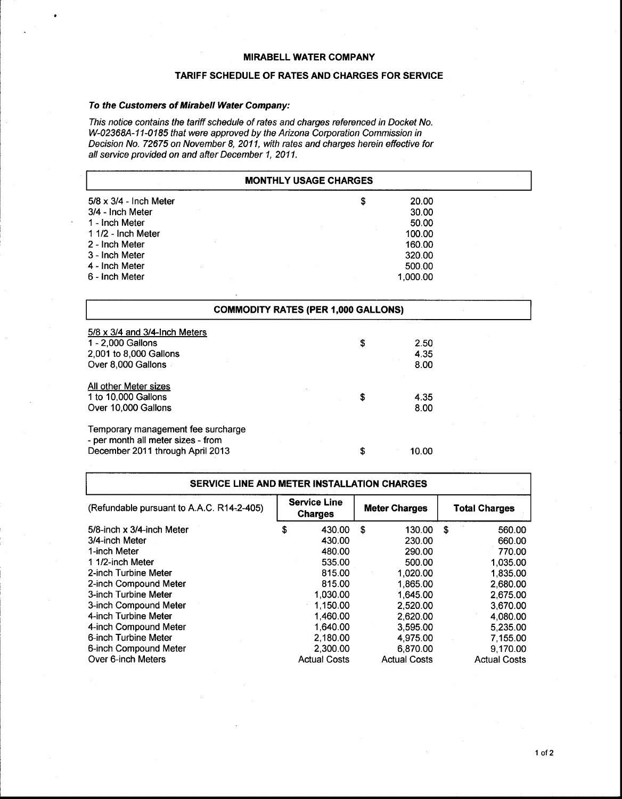## **TARIFF SCHEDULE OF RATES AND CHARGES FOR SERVICE**

## To the Customers of Mirabell Water Company:

I

This notice contains the tariff schedule of rates and charges referenced in Docket No. W-02368A-11-0185 that were approved by the Arizona Corporation Commission in Decision No. 72675 on November 8, 2011, with rates and charges herein effective for all service provided on and after December 1, 2011.

| <b>MONTHLY USAGE CHARGES</b>  |                                            |  |  |
|-------------------------------|--------------------------------------------|--|--|
| $5/8 \times 3/4$ - Inch Meter | \$<br>20.00                                |  |  |
| 3/4 - Inch Meter              | 30.00                                      |  |  |
| 1 - Inch Meter                | 50.00                                      |  |  |
| 1 1/2 - Inch Meter            | 100.00                                     |  |  |
| 2 - Inch Meter                | 160.00                                     |  |  |
| 3 - Inch Meter                | 320.00                                     |  |  |
| 4 - Inch Meter                | 500.00                                     |  |  |
| 6 - Inch Meter                | 1,000.00                                   |  |  |
|                               |                                            |  |  |
|                               | <b>COMMODITY RATES (PER 1,000 GALLONS)</b> |  |  |

| $5/8 \times 3/4$ and $3/4$ -Inch Meters<br>1 - 2,000 Gallons<br>2,001 to 8,000 Gallons<br>Over 8,000 Gallons | \$ | 2.50<br>4.35<br>8.00 |  |
|--------------------------------------------------------------------------------------------------------------|----|----------------------|--|
| All other Meter sizes<br>1 to 10,000 Gallons<br>Over 10,000 Gallons                                          | S  | 4.35<br>8.00         |  |
| Temporary management fee surcharge<br>- per month all meter sizes - from<br>December 2011 through April 2013 | S  | 10.00                |  |

| <b>SERVICE LINE AND METER INSTALLATION CHARGES</b> |   |                                       |    |                     |      |                      |  |                      |
|----------------------------------------------------|---|---------------------------------------|----|---------------------|------|----------------------|--|----------------------|
| (Refundable pursuant to A.A.C. R14-2-405)          |   | <b>Service Line</b><br><b>Charges</b> |    |                     |      | <b>Meter Charges</b> |  | <b>Total Charges</b> |
| 5/8-inch x 3/4-inch Meter                          | S | 430.00                                | -S | 130.00              | - \$ | 560.00               |  |                      |
| 3/4-inch Meter                                     |   | 430.00                                |    | 230.00              |      | 660.00               |  |                      |
| 1-inch Meter                                       |   | 480.00                                |    | 290.00              |      | 770.00               |  |                      |
| 1 1/2-inch Meter                                   |   | 535.00                                |    | 500.00              |      | 1.035.00             |  |                      |
| 2-inch Turbine Meter                               |   | 815.00                                |    | 1.020.00            |      | 1,835.00             |  |                      |
| 2-inch Compound Meter                              |   | 815.00                                |    | 1,865.00            |      | 2.680.00             |  |                      |
| 3-inch Turbine Meter                               |   | 1.030.00                              |    | 1.645.00            |      | 2,675.00             |  |                      |
| 3-inch Compound Meter                              |   | 1.150.00                              |    | 2.520.00            |      | 3.670.00             |  |                      |
| 4-inch Turbine Meter                               |   | 1.460.00                              |    | 2.620.00            |      | 4.080.00             |  |                      |
| 4-inch Compound Meter                              |   | 1,640.00                              |    | 3.595.00            |      | 5,235.00             |  |                      |
| 6-inch Turbine Meter                               |   | 2.180.00                              |    | 4.975.00            |      | 7.155.00             |  |                      |
| 6-inch Compound Meter                              |   | 2,300.00                              |    | 6.870.00            |      | 9.170.00             |  |                      |
| Over 6-inch Meters                                 |   | <b>Actual Costs</b>                   |    | <b>Actual Costs</b> |      | <b>Actual Costs</b>  |  |                      |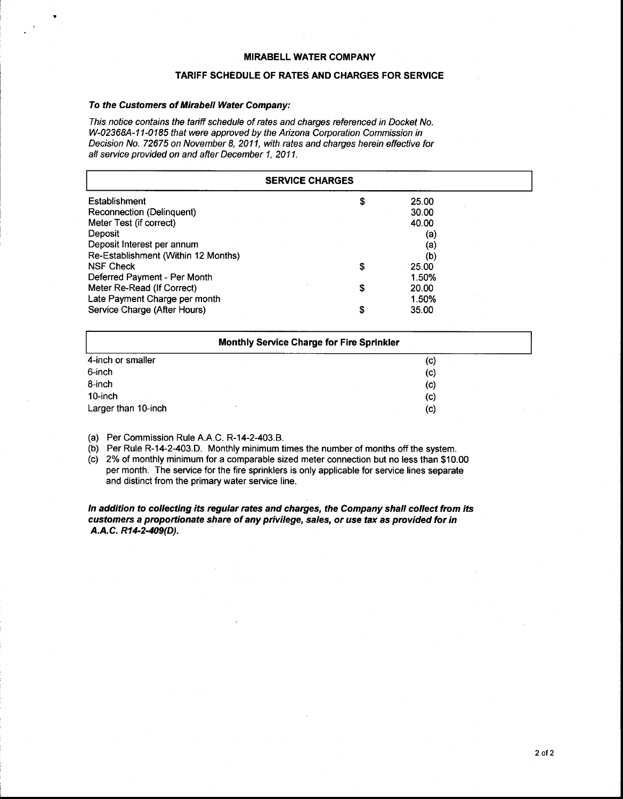#### **TARIFF SCHEDULE OF RATES AND CHARGES FOR SERVICE**

#### *To the Customers of Mirabell Water Company:*

*This notice contains the tariff schedule of rates and charges referenced in Docket No. W-02368A-11-0185 that were approved by the Arizona Corporation Commission in Decision No. 72675 on November 8, 201 I, with rates and charges herein effective for all service provided on and after December I, 201 I.* 

| <b>SERVICE CHARGES</b>              |    |       |  |
|-------------------------------------|----|-------|--|
| Establishment                       | S  | 25.00 |  |
| Reconnection (Delinquent)           |    | 30.00 |  |
| Meter Test (if correct)             |    | 40.00 |  |
| Deposit                             |    | (a)   |  |
| Deposit Interest per annum          |    | (a)   |  |
| Re-Establishment (Within 12 Months) |    | (b)   |  |
| <b>NSF Check</b>                    | \$ | 25.00 |  |
| Deferred Payment - Per Month        |    | 1.50% |  |
| Meter Re-Read (If Correct)          | \$ | 20.00 |  |
| Late Payment Charge per month       |    | 1.50% |  |
| Service Charge (After Hours)        | \$ | 35.00 |  |

| <b>Monthly Service Charge for Fire Sprinkler</b> |                        |  |  |  |  |
|--------------------------------------------------|------------------------|--|--|--|--|
| 4-inch or smaller                                | $\left( $              |  |  |  |  |
| 6-inch                                           | (c)                    |  |  |  |  |
| 8-inch                                           | $\left( \circ \right)$ |  |  |  |  |
| 10-inch                                          | (c)                    |  |  |  |  |
| Larger than 10-inch                              | (c)                    |  |  |  |  |

(a) Per Commission Rule A.A.C. R-14-2-403.B.

(b) Per Rule R-14-2-403.D. Monthly minimum times the number of months off the system.

(c) 2% of monthly minimum for a comparable sized meter connection but no less than \$1 0.00 per month. The service for the fire sprinklers is only applicable for service lines separate and distinct from the primary water service line.

*In addition to collecting its regular rates and charges, the Company shall collect from its customers a proportionate share of any privilege, sales, or use tax as provided for in A.A. C. R14-2-409(D).*